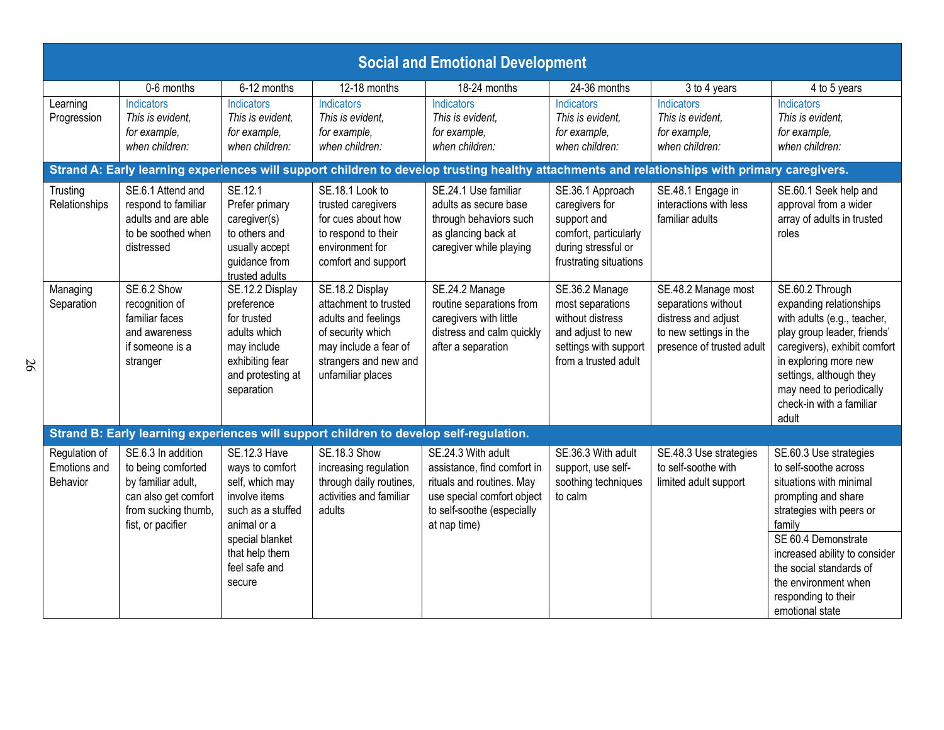| <b>Social and Emotional Development</b>   |                                                                                                                                    |                                                                                                                                                                                |                                                                                                                                                             |                                                                                                                                                            |                                                                                                                              |                                                                                                                          |                                                                                                                                                                                                                                                                                              |  |
|-------------------------------------------|------------------------------------------------------------------------------------------------------------------------------------|--------------------------------------------------------------------------------------------------------------------------------------------------------------------------------|-------------------------------------------------------------------------------------------------------------------------------------------------------------|------------------------------------------------------------------------------------------------------------------------------------------------------------|------------------------------------------------------------------------------------------------------------------------------|--------------------------------------------------------------------------------------------------------------------------|----------------------------------------------------------------------------------------------------------------------------------------------------------------------------------------------------------------------------------------------------------------------------------------------|--|
| Learning<br>Progression                   | 0-6 months<br><b>Indicators</b><br>This is evident,<br>for example,<br>when children:                                              | 6-12 months<br>Indicators<br>This is evident,<br>for example,<br>when children:                                                                                                | 12-18 months<br>Indicators<br>This is evident,<br>for example,<br>when children:                                                                            | 18-24 months<br>Indicators<br>This is evident.<br>for example,<br>when children:                                                                           | 24-36 months<br>Indicators<br>This is evident,<br>for example,<br>when children:                                             | 3 to 4 years<br>Indicators<br>This is evident.<br>for example,<br>when children:                                         | 4 to 5 years<br>Indicators<br>This is evident,<br>for example,<br>when children:                                                                                                                                                                                                             |  |
|                                           |                                                                                                                                    |                                                                                                                                                                                |                                                                                                                                                             | Strand A: Early learning experiences will support children to develop trusting healthy attachments and relationships with primary caregivers.              |                                                                                                                              |                                                                                                                          |                                                                                                                                                                                                                                                                                              |  |
| Trusting<br>Relationships                 | SE.6.1 Attend and<br>respond to familiar<br>adults and are able<br>to be soothed when<br>distressed                                | SE.12.1<br>Prefer primary<br>caregiver(s)<br>to others and<br>usually accept<br>guidance from<br>trusted adults                                                                | SE.18.1 Look to<br>trusted caregivers<br>for cues about how<br>to respond to their<br>environment for<br>comfort and support                                | SE.24.1 Use familiar<br>adults as secure base<br>through behaviors such<br>as glancing back at<br>caregiver while playing                                  | SE.36.1 Approach<br>caregivers for<br>support and<br>comfort, particularly<br>during stressful or<br>frustrating situations  | SE.48.1 Engage in<br>interactions with less<br>familiar adults                                                           | SE.60.1 Seek help and<br>approval from a wider<br>array of adults in trusted<br>roles                                                                                                                                                                                                        |  |
| Managing<br>Separation                    | SE.6.2 Show<br>recognition of<br>familiar faces<br>and awareness<br>if someone is a<br>stranger                                    | SE.12.2 Display<br>preference<br>for trusted<br>adults which<br>may include<br>exhibiting fear<br>and protesting at<br>separation                                              | SE.18.2 Display<br>attachment to trusted<br>adults and feelings<br>of security which<br>may include a fear of<br>strangers and new and<br>unfamiliar places | SE.24.2 Manage<br>routine separations from<br>caregivers with little<br>distress and calm quickly<br>after a separation                                    | SE.36.2 Manage<br>most separations<br>without distress<br>and adjust to new<br>settings with support<br>from a trusted adult | SE.48.2 Manage most<br>separations without<br>distress and adjust<br>to new settings in the<br>presence of trusted adult | SE.60.2 Through<br>expanding relationships<br>with adults (e.g., teacher,<br>play group leader, friends'<br>caregivers), exhibit comfort<br>in exploring more new<br>settings, although they<br>may need to periodically<br>check-in with a familiar<br>adult                                |  |
|                                           |                                                                                                                                    |                                                                                                                                                                                | Strand B: Early learning experiences will support children to develop self-regulation.                                                                      |                                                                                                                                                            |                                                                                                                              |                                                                                                                          |                                                                                                                                                                                                                                                                                              |  |
| Regulation of<br>Emotions and<br>Behavior | SE.6.3 In addition<br>to being comforted<br>by familiar adult,<br>can also get comfort<br>from sucking thumb,<br>fist, or pacifier | <b>SE.12.3 Have</b><br>ways to comfort<br>self, which may<br>involve items<br>such as a stuffed<br>animal or a<br>special blanket<br>that help them<br>feel safe and<br>secure | <b>SE.18.3 Show</b><br>increasing regulation<br>through daily routines,<br>activities and familiar<br>adults                                                | SE.24.3 With adult<br>assistance, find comfort in<br>rituals and routines. May<br>use special comfort object<br>to self-soothe (especially<br>at nap time) | SE.36.3 With adult<br>support, use self-<br>soothing techniques<br>to calm                                                   | SE.48.3 Use strategies<br>to self-soothe with<br>limited adult support                                                   | SE.60.3 Use strategies<br>to self-soothe across<br>situations with minimal<br>prompting and share<br>strategies with peers or<br>family<br>SE 60.4 Demonstrate<br>increased ability to consider<br>the social standards of<br>the environment when<br>responding to their<br>emotional state |  |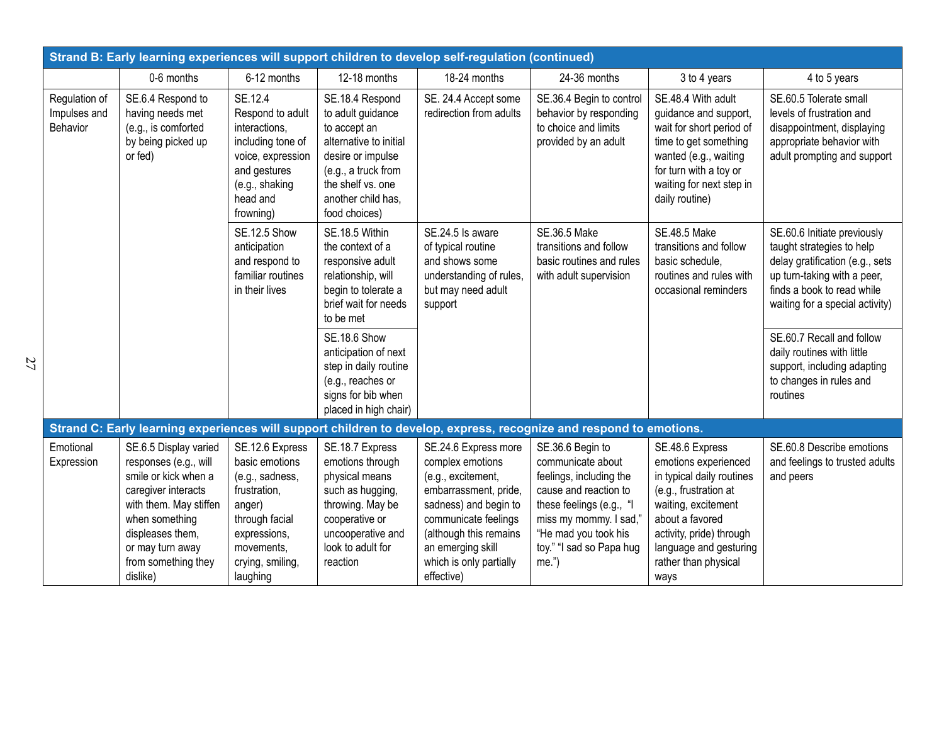| Strand B: Early learning experiences will support children to develop self-regulation (continued) |                                                                                                                                                                                                                      |                                                                                                                                                                |                                                                                                                                                                                        |                                                                                                                                                                                                                                  |                                                                                                                                                                                                             |                                                                                                                                                                                                                               |                                                                                                                                                                                             |  |
|---------------------------------------------------------------------------------------------------|----------------------------------------------------------------------------------------------------------------------------------------------------------------------------------------------------------------------|----------------------------------------------------------------------------------------------------------------------------------------------------------------|----------------------------------------------------------------------------------------------------------------------------------------------------------------------------------------|----------------------------------------------------------------------------------------------------------------------------------------------------------------------------------------------------------------------------------|-------------------------------------------------------------------------------------------------------------------------------------------------------------------------------------------------------------|-------------------------------------------------------------------------------------------------------------------------------------------------------------------------------------------------------------------------------|---------------------------------------------------------------------------------------------------------------------------------------------------------------------------------------------|--|
|                                                                                                   | 0-6 months                                                                                                                                                                                                           | 6-12 months                                                                                                                                                    | 12-18 months                                                                                                                                                                           | 18-24 months                                                                                                                                                                                                                     | 24-36 months                                                                                                                                                                                                | 3 to 4 years                                                                                                                                                                                                                  | 4 to 5 years                                                                                                                                                                                |  |
| Regulation of<br>Impulses and<br>Behavior                                                         | SE.6.4 Respond to<br>having needs met<br>(e.g., is comforted<br>by being picked up<br>or fed)                                                                                                                        | SE.12.4<br>Respond to adult<br>interactions,<br>including tone of<br>voice, expression<br>and gestures<br>(e.g., shaking<br>head and<br>frowning)              | SE.18.4 Respond<br>to adult guidance<br>to accept an<br>alternative to initial<br>desire or impulse<br>(e.g., a truck from<br>the shelf vs. one<br>another child has.<br>food choices) | SE. 24.4 Accept some<br>redirection from adults                                                                                                                                                                                  | SE.36.4 Begin to control<br>behavior by responding<br>to choice and limits<br>provided by an adult                                                                                                          | SE.48.4 With adult<br>guidance and support,<br>wait for short period of<br>time to get something<br>wanted (e.g., waiting<br>for turn with a toy or<br>waiting for next step in<br>daily routine)                             | SE.60.5 Tolerate small<br>levels of frustration and<br>disappointment, displaying<br>appropriate behavior with<br>adult prompting and support                                               |  |
|                                                                                                   |                                                                                                                                                                                                                      | <b>SE.12.5 Show</b><br>anticipation<br>and respond to<br>familiar routines<br>in their lives                                                                   | SE.18.5 Within<br>the context of a<br>responsive adult<br>relationship, will<br>begin to tolerate a<br>brief wait for needs<br>to be met                                               | SE.24.5 Is aware<br>of typical routine<br>and shows some<br>understanding of rules,<br>but may need adult<br>support                                                                                                             | <b>SE.36.5 Make</b><br>transitions and follow<br>basic routines and rules<br>with adult supervision                                                                                                         | <b>SE.48.5 Make</b><br>transitions and follow<br>basic schedule,<br>routines and rules with<br>occasional reminders                                                                                                           | SE.60.6 Initiate previously<br>taught strategies to help<br>delay gratification (e.g., sets<br>up turn-taking with a peer,<br>finds a book to read while<br>waiting for a special activity) |  |
|                                                                                                   |                                                                                                                                                                                                                      |                                                                                                                                                                | <b>SE.18.6 Show</b><br>anticipation of next<br>step in daily routine<br>(e.g., reaches or<br>signs for bib when<br>placed in high chair)                                               |                                                                                                                                                                                                                                  |                                                                                                                                                                                                             |                                                                                                                                                                                                                               | SE.60.7 Recall and follow<br>daily routines with little<br>support, including adapting<br>to changes in rules and<br>routines                                                               |  |
|                                                                                                   |                                                                                                                                                                                                                      |                                                                                                                                                                |                                                                                                                                                                                        |                                                                                                                                                                                                                                  | Strand C: Early learning experiences will support children to develop, express, recognize and respond to emotions.                                                                                          |                                                                                                                                                                                                                               |                                                                                                                                                                                             |  |
| Emotional<br>Expression                                                                           | SE.6.5 Display varied<br>responses (e.g., will<br>smile or kick when a<br>caregiver interacts<br>with them. May stiffen<br>when something<br>displeases them,<br>or may turn away<br>from something they<br>dislike) | SE.12.6 Express<br>basic emotions<br>(e.g., sadness,<br>frustration,<br>anger)<br>through facial<br>expressions,<br>movements,<br>crying, smiling,<br>laughing | SE.18.7 Express<br>emotions through<br>physical means<br>such as hugging,<br>throwing. May be<br>cooperative or<br>uncooperative and<br>look to adult for<br>reaction                  | SE.24.6 Express more<br>complex emotions<br>(e.g., excitement,<br>embarrassment, pride,<br>sadness) and begin to<br>communicate feelings<br>(although this remains<br>an emerging skill<br>which is only partially<br>effective) | SE.36.6 Begin to<br>communicate about<br>feelings, including the<br>cause and reaction to<br>these feelings (e.g., "I<br>miss my mommy. I sad,"<br>"He mad you took his<br>toy." "I sad so Papa hug<br>me.' | SE.48.6 Express<br>emotions experienced<br>in typical daily routines<br>(e.g., frustration at<br>waiting, excitement<br>about a favored<br>activity, pride) through<br>language and gesturing<br>rather than physical<br>ways | SE.60.8 Describe emotions<br>and feelings to trusted adults<br>and peers                                                                                                                    |  |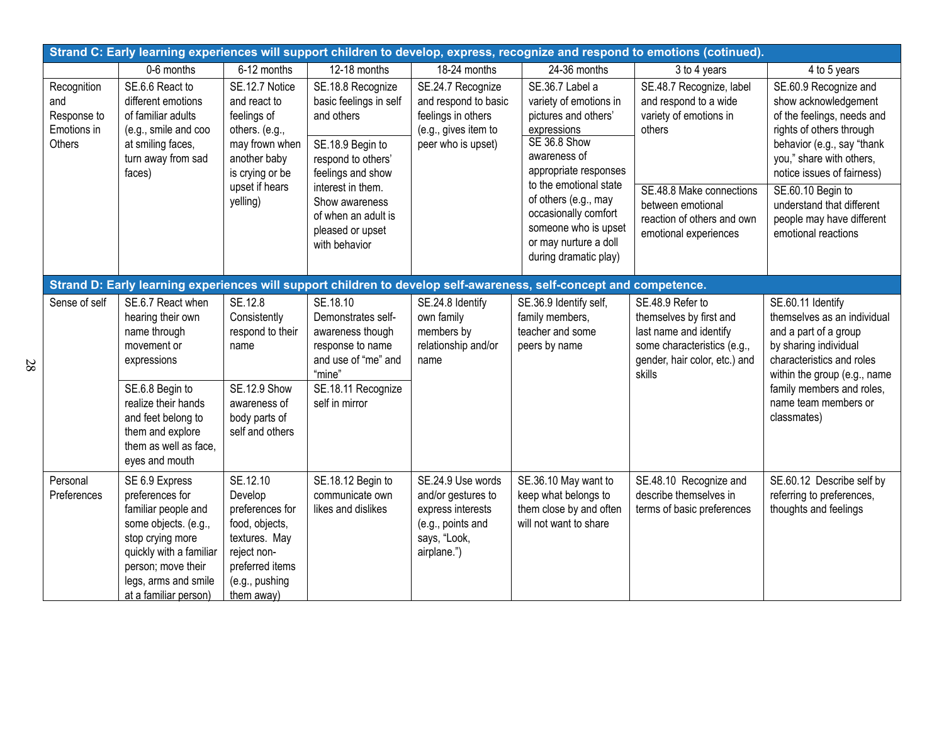| Strand C: Early learning experiences will support children to develop, express, recognize and respond to emotions (cotinued). |                                                                                                                                                                                                                     |                                                                                                                                                    |                                                                                                                                                                                                                             |                                                                                                                  |                                                                                                                                                                                                                                                                                               |                                                                                                                                                                                               |                                                                                                                                                                                                                                                                                                       |  |  |
|-------------------------------------------------------------------------------------------------------------------------------|---------------------------------------------------------------------------------------------------------------------------------------------------------------------------------------------------------------------|----------------------------------------------------------------------------------------------------------------------------------------------------|-----------------------------------------------------------------------------------------------------------------------------------------------------------------------------------------------------------------------------|------------------------------------------------------------------------------------------------------------------|-----------------------------------------------------------------------------------------------------------------------------------------------------------------------------------------------------------------------------------------------------------------------------------------------|-----------------------------------------------------------------------------------------------------------------------------------------------------------------------------------------------|-------------------------------------------------------------------------------------------------------------------------------------------------------------------------------------------------------------------------------------------------------------------------------------------------------|--|--|
|                                                                                                                               | 0-6 months                                                                                                                                                                                                          | 6-12 months                                                                                                                                        | 12-18 months                                                                                                                                                                                                                | 18-24 months                                                                                                     | 24-36 months                                                                                                                                                                                                                                                                                  | 3 to 4 years                                                                                                                                                                                  | 4 to 5 years                                                                                                                                                                                                                                                                                          |  |  |
| Recognition<br>and<br>Response to<br>Emotions in<br>Others                                                                    | SE.6.6 React to<br>different emotions<br>of familiar adults<br>(e.g., smile and coo<br>at smiling faces,<br>turn away from sad<br>faces)                                                                            | SE.12.7 Notice<br>and react to<br>feelings of<br>others. (e.g.,<br>may frown when<br>another baby<br>is crying or be<br>upset if hears<br>yelling) | SE.18.8 Recognize<br>basic feelings in self<br>and others<br>SE.18.9 Begin to<br>respond to others'<br>feelings and show<br>interest in them.<br>Show awareness<br>of when an adult is<br>pleased or upset<br>with behavior | SE.24.7 Recognize<br>and respond to basic<br>feelings in others<br>(e.g., gives item to<br>peer who is upset)    | SE.36.7 Label a<br>variety of emotions in<br>pictures and others'<br>expressions<br>SE 36.8 Show<br>awareness of<br>appropriate responses<br>to the emotional state<br>of others (e.g., may<br>occasionally comfort<br>someone who is upset<br>or may nurture a doll<br>during dramatic play) | SE.48.7 Recognize, label<br>and respond to a wide<br>variety of emotions in<br>others<br>SE.48.8 Make connections<br>between emotional<br>reaction of others and own<br>emotional experiences | SE.60.9 Recognize and<br>show acknowledgement<br>of the feelings, needs and<br>rights of others through<br>behavior (e.g., say "thank<br>you," share with others,<br>notice issues of fairness)<br>SE.60.10 Begin to<br>understand that different<br>people may have different<br>emotional reactions |  |  |
|                                                                                                                               |                                                                                                                                                                                                                     |                                                                                                                                                    |                                                                                                                                                                                                                             |                                                                                                                  | Strand D: Early learning experiences will support children to develop self-awareness, self-concept and competence.                                                                                                                                                                            |                                                                                                                                                                                               |                                                                                                                                                                                                                                                                                                       |  |  |
| Sense of self                                                                                                                 | SE.6.7 React when<br>hearing their own<br>name through<br>movement or<br>expressions<br>SE.6.8 Begin to<br>realize their hands<br>and feet belong to<br>them and explore<br>them as well as face,<br>eyes and mouth | SE.12.8<br>Consistently<br>respond to their<br>name<br><b>SE.12.9 Show</b><br>awareness of<br>body parts of<br>self and others                     | SE.18.10<br>Demonstrates self-<br>awareness though<br>response to name<br>and use of "me" and<br>"mine"<br>SE.18.11 Recognize<br>self in mirror                                                                             | SE.24.8 Identify<br>own family<br>members by<br>relationship and/or<br>name                                      | SE.36.9 Identify self,<br>family members,<br>teacher and some<br>peers by name                                                                                                                                                                                                                | SE.48.9 Refer to<br>themselves by first and<br>last name and identify<br>some characteristics (e.g.,<br>gender, hair color, etc.) and<br>skills                                               | SE.60.11 Identify<br>themselves as an individual<br>and a part of a group<br>by sharing individual<br>characteristics and roles<br>within the group (e.g., name<br>family members and roles,<br>name team members or<br>classmates)                                                                   |  |  |
| Personal<br>Preferences                                                                                                       | SE 6.9 Express<br>preferences for<br>familiar people and<br>some objects. (e.g.,<br>stop crying more<br>quickly with a familiar<br>person; move their<br>legs, arms and smile<br>at a familiar person)              | SE.12.10<br>Develop<br>preferences for<br>food, objects,<br>textures. May<br>reject non-<br>preferred items<br>(e.g., pushing<br>them away)        | SE.18.12 Begin to<br>communicate own<br>likes and dislikes                                                                                                                                                                  | SE.24.9 Use words<br>and/or gestures to<br>express interests<br>(e.g., points and<br>says, "Look,<br>airplane.") | SE.36.10 May want to<br>keep what belongs to<br>them close by and often<br>will not want to share                                                                                                                                                                                             | SE.48.10 Recognize and<br>describe themselves in<br>terms of basic preferences                                                                                                                | SE.60.12 Describe self by<br>referring to preferences,<br>thoughts and feelings                                                                                                                                                                                                                       |  |  |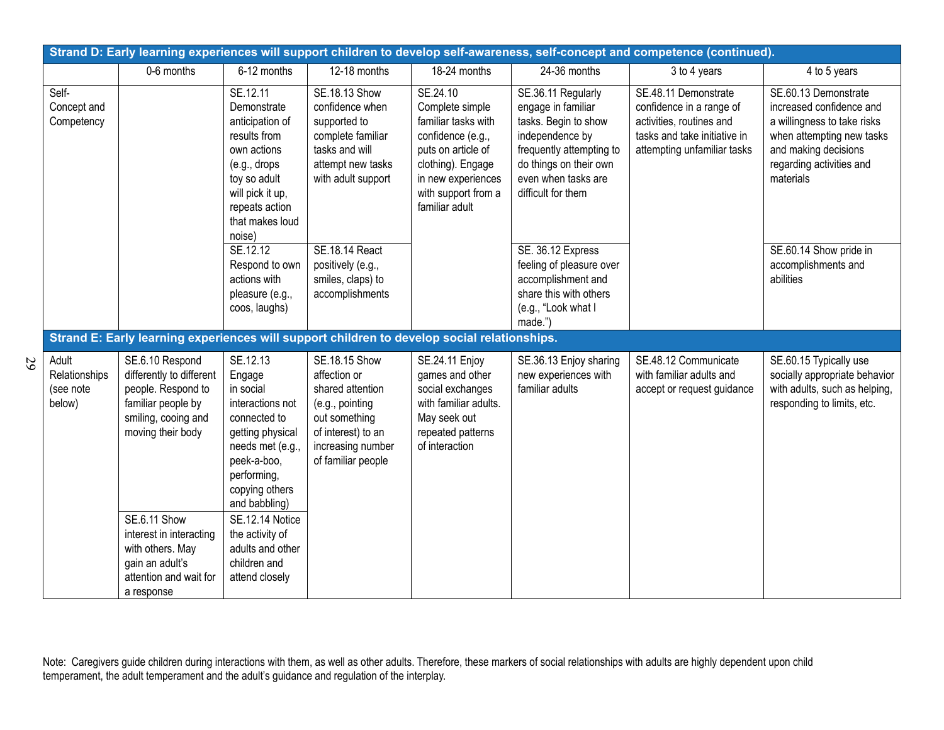| Strand D: Early learning experiences will support children to develop self-awareness, self-concept and competence (continued). |                                                                                                                                     |                                                                                                                                                                              |                                                                                                                                                        |                                                                                                                                                                                   |                                                                                                                                                                                        |                                                                                                                                             |                                                                                                                                                                               |  |
|--------------------------------------------------------------------------------------------------------------------------------|-------------------------------------------------------------------------------------------------------------------------------------|------------------------------------------------------------------------------------------------------------------------------------------------------------------------------|--------------------------------------------------------------------------------------------------------------------------------------------------------|-----------------------------------------------------------------------------------------------------------------------------------------------------------------------------------|----------------------------------------------------------------------------------------------------------------------------------------------------------------------------------------|---------------------------------------------------------------------------------------------------------------------------------------------|-------------------------------------------------------------------------------------------------------------------------------------------------------------------------------|--|
|                                                                                                                                | 0-6 months                                                                                                                          | 6-12 months                                                                                                                                                                  | 12-18 months                                                                                                                                           | 18-24 months                                                                                                                                                                      | 24-36 months                                                                                                                                                                           | 3 to 4 years                                                                                                                                | 4 to 5 years                                                                                                                                                                  |  |
| Self-<br>Concept and<br>Competency                                                                                             |                                                                                                                                     | SE.12.11<br>Demonstrate<br>anticipation of<br>results from<br>own actions<br>(e.g., drops<br>toy so adult<br>will pick it up,<br>repeats action<br>that makes loud<br>noise) | SE.18.13 Show<br>confidence when<br>supported to<br>complete familiar<br>tasks and will<br>attempt new tasks<br>with adult support                     | SE.24.10<br>Complete simple<br>familiar tasks with<br>confidence (e.g.,<br>puts on article of<br>clothing). Engage<br>in new experiences<br>with support from a<br>familiar adult | SE.36.11 Regularly<br>engage in familiar<br>tasks. Begin to show<br>independence by<br>frequently attempting to<br>do things on their own<br>even when tasks are<br>difficult for them | SE.48.11 Demonstrate<br>confidence in a range of<br>activities, routines and<br>tasks and take initiative in<br>attempting unfamiliar tasks | SE.60.13 Demonstrate<br>increased confidence and<br>a willingness to take risks<br>when attempting new tasks<br>and making decisions<br>regarding activities and<br>materials |  |
|                                                                                                                                |                                                                                                                                     | SE.12.12<br>Respond to own<br>actions with<br>pleasure (e.g.,<br>coos, laughs)                                                                                               | SE.18.14 React<br>positively (e.g.,<br>smiles, claps) to<br>accomplishments                                                                            |                                                                                                                                                                                   | SE. 36.12 Express<br>feeling of pleasure over<br>accomplishment and<br>share this with others<br>(e.g., "Look what I<br>made.")                                                        |                                                                                                                                             | SE.60.14 Show pride in<br>accomplishments and<br>abilities                                                                                                                    |  |
|                                                                                                                                | Strand E: Early learning experiences will support children to develop social relationships.                                         |                                                                                                                                                                              |                                                                                                                                                        |                                                                                                                                                                                   |                                                                                                                                                                                        |                                                                                                                                             |                                                                                                                                                                               |  |
| Adult<br>Relationships<br>(see note<br>below)                                                                                  | SE.6.10 Respond<br>differently to different<br>people. Respond to<br>familiar people by<br>smiling, cooing and<br>moving their body | SE.12.13<br>Engage<br>in social<br>interactions not<br>connected to<br>getting physical<br>needs met (e.g.,<br>peek-a-boo,<br>performing,<br>copying others<br>and babbling) | SE.18.15 Show<br>affection or<br>shared attention<br>(e.g., pointing<br>out something<br>of interest) to an<br>increasing number<br>of familiar people | SE.24.11 Enjoy<br>games and other<br>social exchanges<br>with familiar adults.<br>May seek out<br>repeated patterns<br>of interaction                                             | SE.36.13 Enjoy sharing<br>new experiences with<br>familiar adults                                                                                                                      | SE.48.12 Communicate<br>with familiar adults and<br>accept or request guidance                                                              | SE.60.15 Typically use<br>socially appropriate behavior<br>with adults, such as helping,<br>responding to limits, etc.                                                        |  |
|                                                                                                                                | <b>SE.6.11 Show</b><br>interest in interacting<br>with others. May<br>gain an adult's<br>attention and wait for<br>a response       | SE.12.14 Notice<br>the activity of<br>adults and other<br>children and<br>attend closely                                                                                     |                                                                                                                                                        |                                                                                                                                                                                   |                                                                                                                                                                                        |                                                                                                                                             |                                                                                                                                                                               |  |

29

Note: Caregivers guide children during interactions with them, as well as other adults. Therefore, these markers of social relationships with adults are highly dependent upon child temperament, the adult temperament and the adult's guidance and regulation of the interplay.